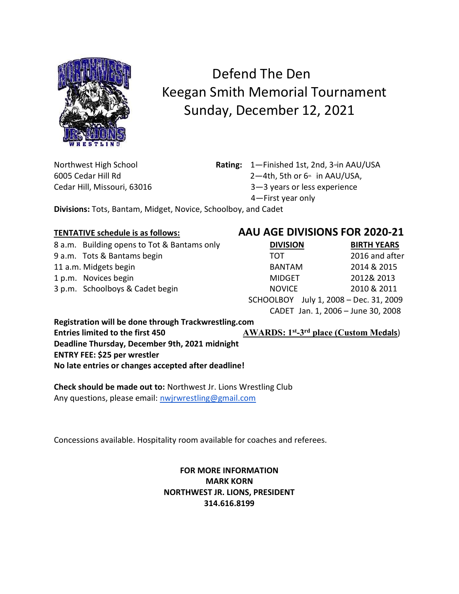

## Defend The Den Keegan Smith Memorial Tournament Sunday, December 12, 2021

Cedar Hill, Missouri, 63016 3—3 years or less experience

Northwest High School **Rating:** 1—Finished 1st, 2nd, 3<sup>rd</sup>in AAU/USA

6005 Cedar Hill Rd **2** <del>2</del> 2 mill Rd in AAU/USA,

4—First year only

Divisions: Tots, Bantam, Midget, Novice, Schoolboy, and Cadet

## TENTATIVE schedule is as follows: AAU AGE DIVISIONS FOR 2020-21

| 8 a.m. Building opens to Tot & Bantams only | <b>DIVISION</b>                        | <b>BIRTH YEARS</b>                 |
|---------------------------------------------|----------------------------------------|------------------------------------|
| 9 a.m. Tots & Bantams begin                 | TOT                                    | 2016 and after                     |
| 11 a.m. Midgets begin                       | <b>BANTAM</b>                          | 2014 & 2015                        |
| 1 p.m. Novices begin                        | MIDGET                                 | 2012& 2013                         |
| 3 p.m. Schoolboys & Cadet begin             | <b>NOVICE</b>                          | 2010 & 2011                        |
|                                             | SCHOOLBOY July 1, 2008 - Dec. 31, 2009 |                                    |
|                                             |                                        | CADET Jan. 1, 2006 - June 30, 2008 |

Registration will be done through Trackwrestling.com Entries limited to the first 450  $AWARDS: 1<sup>st</sup>-3<sup>rd</sup> place (Custom Medals)$ Deadline Thursday, December 9th, 2021 midnight ENTRY FEE: \$25 per wrestler No late entries or changes accepted after deadline!

Check should be made out to: Northwest Jr. Lions Wrestling Club Any questions, please email: nwjrwrestling@gmail.com

Concessions available. Hospitality room available for coaches and referees.

## FOR MORE INFORMATION MARK KORN NORTHWEST JR. LIONS, PRESIDENT 314.616.8199